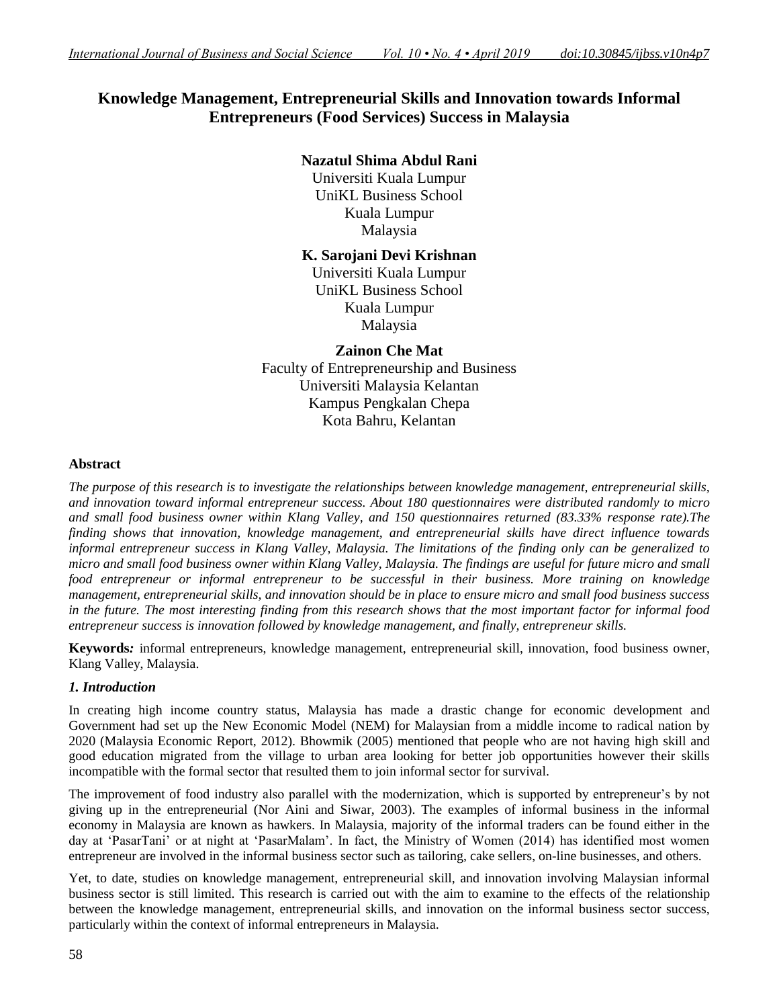# **Knowledge Management, Entrepreneurial Skills and Innovation towards Informal Entrepreneurs (Food Services) Success in Malaysia**

# **Nazatul Shima Abdul Rani**

Universiti Kuala Lumpur UniKL Business School Kuala Lumpur Malaysia

## **K. Sarojani Devi Krishnan**

Universiti Kuala Lumpur UniKL Business School Kuala Lumpur Malaysia

**Zainon Che Mat** Faculty of Entrepreneurship and Business Universiti Malaysia Kelantan Kampus Pengkalan Chepa Kota Bahru, Kelantan

#### **Abstract**

*The purpose of this research is to investigate the relationships between knowledge management, entrepreneurial skills, and innovation toward informal entrepreneur success. About 180 questionnaires were distributed randomly to micro and small food business owner within Klang Valley, and 150 questionnaires returned (83.33% response rate).The finding shows that innovation, knowledge management, and entrepreneurial skills have direct influence towards informal entrepreneur success in Klang Valley, Malaysia. The limitations of the finding only can be generalized to micro and small food business owner within Klang Valley, Malaysia. The findings are useful for future micro and small food entrepreneur or informal entrepreneur to be successful in their business. More training on knowledge management, entrepreneurial skills, and innovation should be in place to ensure micro and small food business success in the future. The most interesting finding from this research shows that the most important factor for informal food entrepreneur success is innovation followed by knowledge management, and finally, entrepreneur skills.*

**Keywords***:* informal entrepreneurs, knowledge management, entrepreneurial skill, innovation, food business owner, Klang Valley, Malaysia.

## *1. Introduction*

In creating high income country status, Malaysia has made a drastic change for economic development and Government had set up the New Economic Model (NEM) for Malaysian from a middle income to radical nation by 2020 (Malaysia Economic Report, 2012). Bhowmik (2005) mentioned that people who are not having high skill and good education migrated from the village to urban area looking for better job opportunities however their skills incompatible with the formal sector that resulted them to join informal sector for survival.

The improvement of food industry also parallel with the modernization, which is supported by entrepreneur"s by not giving up in the entrepreneurial (Nor Aini and Siwar, 2003). The examples of informal business in the informal economy in Malaysia are known as hawkers. In Malaysia, majority of the informal traders can be found either in the day at "PasarTani" or at night at "PasarMalam". In fact, the Ministry of Women (2014) has identified most women entrepreneur are involved in the informal business sector such as tailoring, cake sellers, on-line businesses, and others.

Yet, to date, studies on knowledge management, entrepreneurial skill, and innovation involving Malaysian informal business sector is still limited. This research is carried out with the aim to examine to the effects of the relationship between the knowledge management, entrepreneurial skills, and innovation on the informal business sector success, particularly within the context of informal entrepreneurs in Malaysia.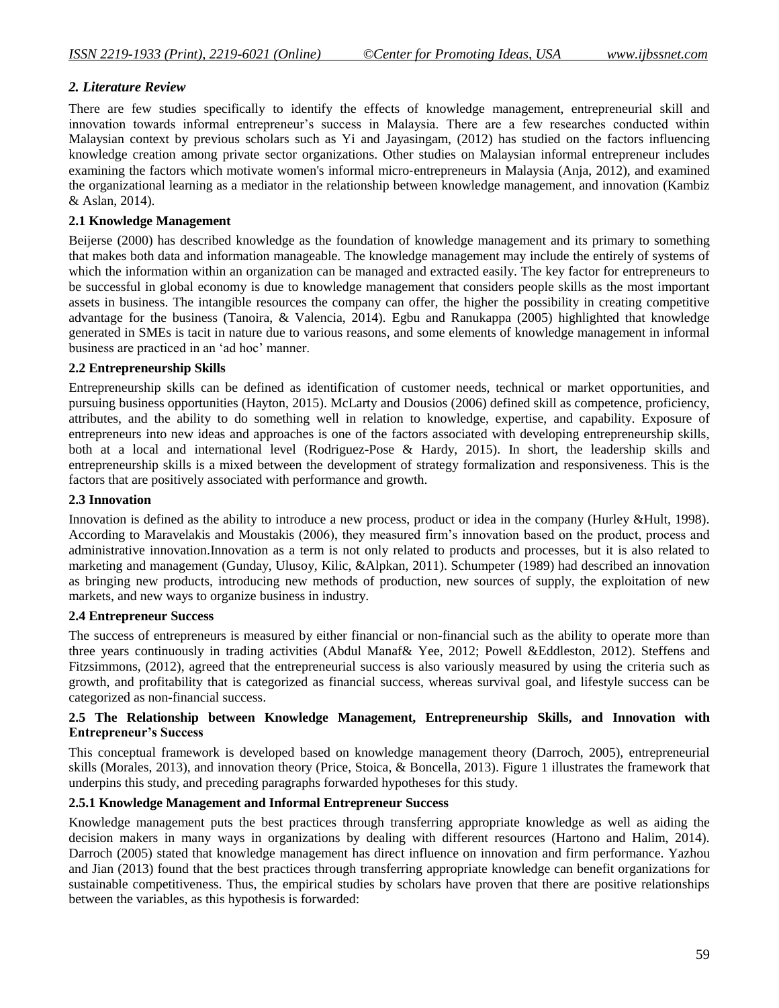## *2. Literature Review*

There are few studies specifically to identify the effects of knowledge management, entrepreneurial skill and innovation towards informal entrepreneur"s success in Malaysia. There are a few researches conducted within Malaysian context by previous scholars such as Yi and Jayasingam, (2012) has studied on the factors influencing knowledge creation among private sector organizations. Other studies on Malaysian informal entrepreneur includes examining the factors which motivate women's informal micro-entrepreneurs in Malaysia (Anja, 2012), and examined the organizational learning as a mediator in the relationship between knowledge management, and innovation (Kambiz & Aslan, 2014).

#### **2.1 Knowledge Management**

Beijerse (2000) has described knowledge as the foundation of knowledge management and its primary to something that makes both data and information manageable. The knowledge management may include the entirely of systems of which the information within an organization can be managed and extracted easily. The key factor for entrepreneurs to be successful in global economy is due to knowledge management that considers people skills as the most important assets in business. The intangible resources the company can offer, the higher the possibility in creating competitive advantage for the business (Tanoira, & Valencia, 2014). Egbu and Ranukappa (2005) highlighted that knowledge generated in SMEs is tacit in nature due to various reasons, and some elements of knowledge management in informal business are practiced in an "ad hoc" manner.

#### **2.2 Entrepreneurship Skills**

Entrepreneurship skills can be defined as identification of customer needs, technical or market opportunities, and pursuing business opportunities (Hayton, 2015). McLarty and Dousios (2006) defined skill as competence, proficiency, attributes, and the ability to do something well in relation to knowledge, expertise, and capability. Exposure of entrepreneurs into new ideas and approaches is one of the factors associated with developing entrepreneurship skills, both at a local and international level (Rodriguez-Pose & Hardy, 2015). In short, the leadership skills and entrepreneurship skills is a mixed between the development of strategy formalization and responsiveness. This is the factors that are positively associated with performance and growth.

#### **2.3 Innovation**

Innovation is defined as the ability to introduce a new process, product or idea in the company (Hurley &Hult, 1998). According to Maravelakis and Moustakis (2006), they measured firm"s innovation based on the product, process and administrative innovation.Innovation as a term is not only related to products and processes, but it is also related to marketing and management (Gunday, Ulusoy, Kilic, &Alpkan, 2011). Schumpeter (1989) had described an innovation as bringing new products, introducing new methods of production, new sources of supply, the exploitation of new markets, and new ways to organize business in industry.

#### **2.4 Entrepreneur Success**

The success of entrepreneurs is measured by either financial or non-financial such as the ability to operate more than three years continuously in trading activities (Abdul Manaf& Yee, 2012; Powell &Eddleston, 2012). Steffens and Fitzsimmons, (2012), agreed that the entrepreneurial success is also variously measured by using the criteria such as growth, and profitability that is categorized as financial success, whereas survival goal, and lifestyle success can be categorized as non-financial success.

### **2.5 The Relationship between Knowledge Management, Entrepreneurship Skills, and Innovation with Entrepreneur's Success**

This conceptual framework is developed based on knowledge management theory (Darroch, 2005), entrepreneurial skills (Morales, 2013), and innovation theory (Price, Stoica, & Boncella, 2013). Figure 1 illustrates the framework that underpins this study, and preceding paragraphs forwarded hypotheses for this study.

#### **2.5.1 Knowledge Management and Informal Entrepreneur Success**

Knowledge management puts the best practices through transferring appropriate knowledge as well as aiding the decision makers in many ways in organizations by dealing with different resources (Hartono and Halim, 2014). Darroch (2005) stated that knowledge management has direct influence on innovation and firm performance. Yazhou and Jian (2013) found that the best practices through transferring appropriate knowledge can benefit organizations for sustainable competitiveness. Thus, the empirical studies by scholars have proven that there are positive relationships between the variables, as this hypothesis is forwarded: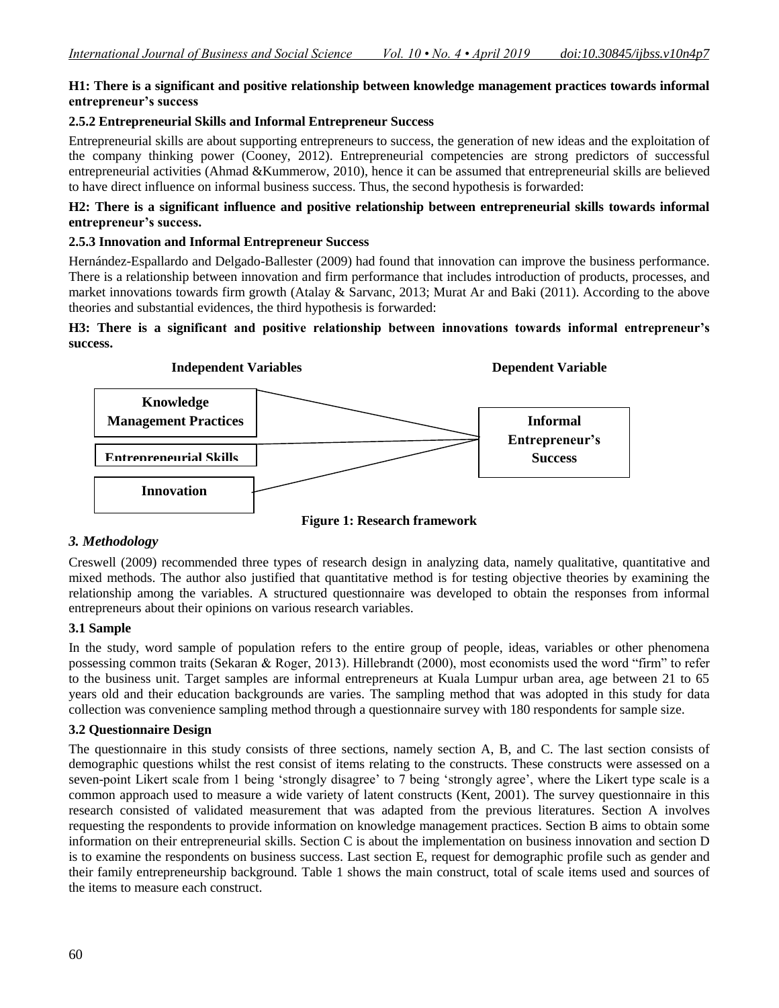## **H1: There is a significant and positive relationship between knowledge management practices towards informal entrepreneur's success**

## **2.5.2 Entrepreneurial Skills and Informal Entrepreneur Success**

Entrepreneurial skills are about supporting entrepreneurs to success, the generation of new ideas and the exploitation of the company thinking power (Cooney, 2012). Entrepreneurial competencies are strong predictors of successful entrepreneurial activities (Ahmad &Kummerow, 2010), hence it can be assumed that entrepreneurial skills are believed to have direct influence on informal business success. Thus, the second hypothesis is forwarded:

## **H2: There is a significant influence and positive relationship between entrepreneurial skills towards informal entrepreneur's success.**

## **2.5.3 Innovation and Informal Entrepreneur Success**

Hernández-Espallardo and Delgado-Ballester (2009) had found that innovation can improve the business performance. There is a relationship between innovation and firm performance that includes introduction of products, processes, and market innovations towards firm growth (Atalay & Sarvanc, 2013; Murat Ar and Baki (2011). According to the above theories and substantial evidences, the third hypothesis is forwarded:

**H3: There is a significant and positive relationship between innovations towards informal entrepreneur's success.**



## *3. Methodology*

Creswell (2009) recommended three types of research design in analyzing data, namely qualitative, quantitative and mixed methods. The author also justified that quantitative method is for testing objective theories by examining the relationship among the variables. A structured questionnaire was developed to obtain the responses from informal entrepreneurs about their opinions on various research variables.

## **3.1 Sample**

In the study, word sample of population refers to the entire group of people, ideas, variables or other phenomena possessing common traits (Sekaran & Roger, 2013). Hillebrandt (2000), most economists used the word "firm" to refer to the business unit. Target samples are informal entrepreneurs at Kuala Lumpur urban area, age between 21 to 65 years old and their education backgrounds are varies. The sampling method that was adopted in this study for data collection was convenience sampling method through a questionnaire survey with 180 respondents for sample size.

#### **3.2 Questionnaire Design**

The questionnaire in this study consists of three sections, namely section A, B, and C. The last section consists of demographic questions whilst the rest consist of items relating to the constructs. These constructs were assessed on a seven-point Likert scale from 1 being 'strongly disagree' to 7 being 'strongly agree', where the Likert type scale is a common approach used to measure a wide variety of latent constructs (Kent, 2001). The survey questionnaire in this research consisted of validated measurement that was adapted from the previous literatures. Section A involves requesting the respondents to provide information on knowledge management practices. Section B aims to obtain some information on their entrepreneurial skills. Section C is about the implementation on business innovation and section D is to examine the respondents on business success. Last section E, request for demographic profile such as gender and their family entrepreneurship background. Table 1 shows the main construct, total of scale items used and sources of the items to measure each construct.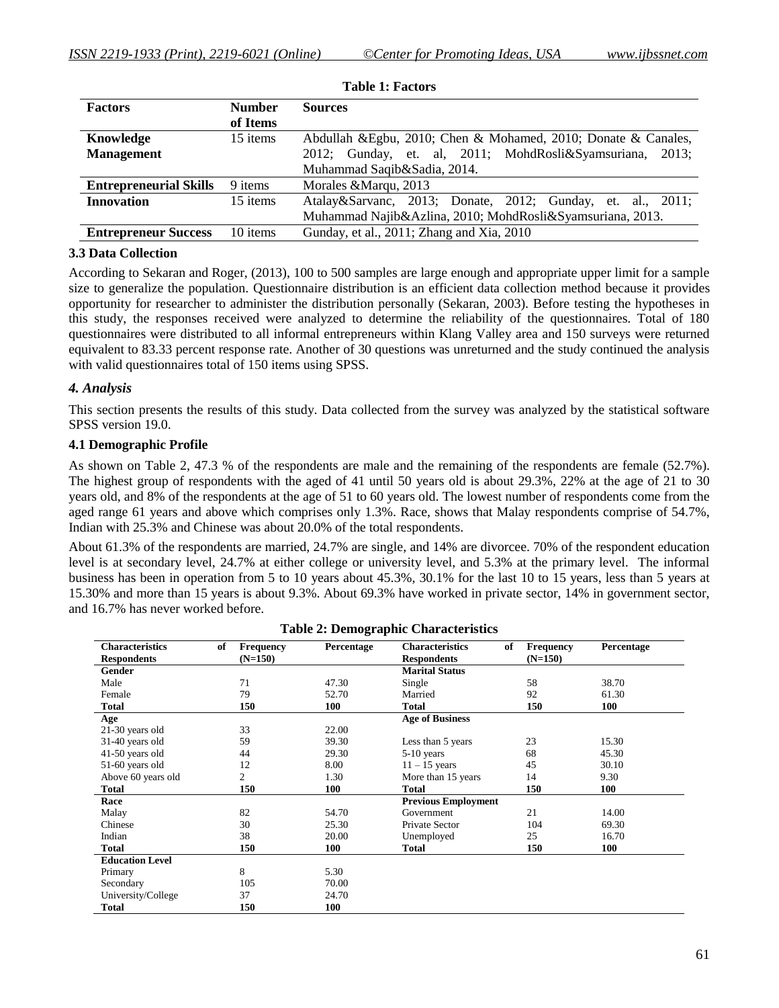| <b>Factors</b>                | <b>Number</b> | <b>Sources</b>                                                 |
|-------------------------------|---------------|----------------------------------------------------------------|
|                               | of Items      |                                                                |
| Knowledge                     | 15 items      | Abdullah & Egbu, 2010; Chen & Mohamed, 2010; Donate & Canales, |
| <b>Management</b>             |               | 2012; Gunday, et. al, 2011; MohdRosli&Syamsuriana,<br>2013:    |
|                               |               | Muhammad Saqib&Sadia, 2014.                                    |
| <b>Entrepreneurial Skills</b> | 9 items       | Morales & Marqu, 2013                                          |
| <b>Innovation</b>             | 15 items      | Atalay&Sarvanc, 2013; Donate, 2012; Gunday, et. al., 2011;     |
|                               |               | Muhammad Najib&Azlina, 2010; MohdRosli&Syamsuriana, 2013.      |
| <b>Entrepreneur Success</b>   | 10 items      | Gunday, et al., 2011; Zhang and Xia, 2010                      |

#### **3.3 Data Collection**

According to Sekaran and Roger, (2013), 100 to 500 samples are large enough and appropriate upper limit for a sample size to generalize the population. Questionnaire distribution is an efficient data collection method because it provides opportunity for researcher to administer the distribution personally (Sekaran, 2003). Before testing the hypotheses in this study, the responses received were analyzed to determine the reliability of the questionnaires. Total of 180 questionnaires were distributed to all informal entrepreneurs within Klang Valley area and 150 surveys were returned equivalent to 83.33 percent response rate. Another of 30 questions was unreturned and the study continued the analysis with valid questionnaires total of 150 items using SPSS.

#### *4. Analysis*

This section presents the results of this study. Data collected from the survey was analyzed by the statistical software SPSS version 19.0.

#### **4.1 Demographic Profile**

As shown on Table 2, 47.3 % of the respondents are male and the remaining of the respondents are female (52.7%). The highest group of respondents with the aged of 41 until 50 years old is about 29.3%, 22% at the age of 21 to 30 years old, and 8% of the respondents at the age of 51 to 60 years old. The lowest number of respondents come from the aged range 61 years and above which comprises only 1.3%. Race, shows that Malay respondents comprise of 54.7%, Indian with 25.3% and Chinese was about 20.0% of the total respondents.

About 61.3% of the respondents are married, 24.7% are single, and 14% are divorcee. 70% of the respondent education level is at secondary level, 24.7% at either college or university level, and 5.3% at the primary level. The informal business has been in operation from 5 to 10 years about 45.3%, 30.1% for the last 10 to 15 years, less than 5 years at 15.30% and more than 15 years is about 9.3%. About 69.3% have worked in private sector, 14% in government sector, and 16.7% has never worked before.

| <b>Characteristics</b><br>of | <b>Frequency</b> | Percentage | <b>Characteristics</b><br>of | <b>Frequency</b> | Percentage |
|------------------------------|------------------|------------|------------------------------|------------------|------------|
| <b>Respondents</b>           | $(N=150)$        |            | <b>Respondents</b>           | $(N=150)$        |            |
| Gender                       |                  |            | <b>Marital Status</b>        |                  |            |
| Male                         | 71               | 47.30      | Single                       | 58               | 38.70      |
| Female                       | 79               | 52.70      | Married                      | 92               | 61.30      |
| Total                        | 150              | 100        | <b>Total</b>                 | 150              | 100        |
| Age                          |                  |            | <b>Age of Business</b>       |                  |            |
| 21-30 years old              | 33               | 22.00      |                              |                  |            |
| 31-40 years old              | 59               | 39.30      | Less than 5 years            | 23               | 15.30      |
| 41-50 years old              | 44               | 29.30      | $5-10$ years                 | 68               | 45.30      |
| 51-60 years old              | 12               | 8.00       | $11 - 15$ years              | 45               | 30.10      |
| Above 60 years old           | $\overline{c}$   | 1.30       | More than 15 years           | 14               | 9.30       |
| Total                        | 150              | 100        | <b>Total</b>                 | 150              | 100        |
| Race                         |                  |            | <b>Previous Employment</b>   |                  |            |
| Malay                        | 82               | 54.70      | Government                   | 21               | 14.00      |
| Chinese                      | 30               | 25.30      | Private Sector               | 104              | 69.30      |
| Indian                       | 38               | 20.00      | Unemployed                   | 25               | 16.70      |
| <b>Total</b>                 | 150              | 100        | <b>Total</b>                 | 150              | 100        |
| <b>Education Level</b>       |                  |            |                              |                  |            |
| Primary                      | 8                | 5.30       |                              |                  |            |
| Secondary                    | 105              | 70.00      |                              |                  |            |
| University/College           | 37               | 24.70      |                              |                  |            |
| <b>Total</b>                 | 150              | 100        |                              |                  |            |

|  |  | <b>Table 2: Demographic Characteristics</b> |
|--|--|---------------------------------------------|
|--|--|---------------------------------------------|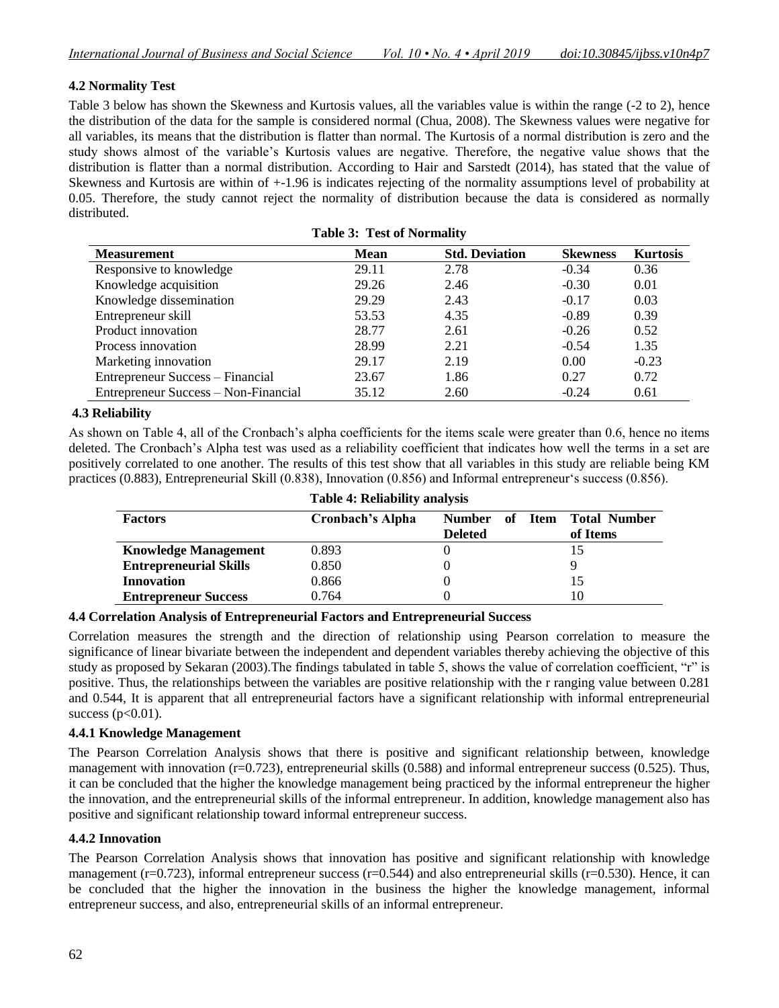### **4.2 Normality Test**

Table 3 below has shown the Skewness and Kurtosis values, all the variables value is within the range (-2 to 2), hence the distribution of the data for the sample is considered normal (Chua, 2008). The Skewness values were negative for all variables, its means that the distribution is flatter than normal. The Kurtosis of a normal distribution is zero and the study shows almost of the variable"s Kurtosis values are negative. Therefore, the negative value shows that the distribution is flatter than a normal distribution. According to Hair and Sarstedt (2014), has stated that the value of Skewness and Kurtosis are within of +-1.96 is indicates rejecting of the normality assumptions level of probability at 0.05. Therefore, the study cannot reject the normality of distribution because the data is considered as normally distributed.

**Table 3: Test of Normality**

|                                             | $-$ while $\bullet$ . $ \bullet$ $\circ$ $\bullet$ $ \circ$ $ \circ$ $  \circ$ $  \circ$ $ \circ$ $ \circ$ $ \circ$ $ \circ$ $ \circ$ $ \circ$ $ \circ$ $ \circ$ $ \circ$ $ \circ$ $ \circ$ $ \circ$ $ \circ$ $ \circ$ $ \circ$ $ \$ |                       |                 |                 |
|---------------------------------------------|--------------------------------------------------------------------------------------------------------------------------------------------------------------------------------------------------------------------------------------|-----------------------|-----------------|-----------------|
| <b>Measurement</b>                          | <b>Mean</b>                                                                                                                                                                                                                          | <b>Std. Deviation</b> | <b>Skewness</b> | <b>Kurtosis</b> |
| Responsive to knowledge                     | 29.11                                                                                                                                                                                                                                | 2.78                  | $-0.34$         | 0.36            |
| Knowledge acquisition                       | 29.26                                                                                                                                                                                                                                | 2.46                  | $-0.30$         | 0.01            |
| Knowledge dissemination                     | 29.29                                                                                                                                                                                                                                | 2.43                  | $-0.17$         | 0.03            |
| Entrepreneur skill                          | 53.53                                                                                                                                                                                                                                | 4.35                  | $-0.89$         | 0.39            |
| Product innovation                          | 28.77                                                                                                                                                                                                                                | 2.61                  | $-0.26$         | 0.52            |
| Process innovation                          | 28.99                                                                                                                                                                                                                                | 2.21                  | $-0.54$         | 1.35            |
| Marketing innovation                        | 29.17                                                                                                                                                                                                                                | 2.19                  | 0.00            | $-0.23$         |
| Entrepreneur Success – Financial            | 23.67                                                                                                                                                                                                                                | 1.86                  | 0.27            | 0.72            |
| <b>Entrepreneur Success – Non-Financial</b> | 35.12                                                                                                                                                                                                                                | 2.60                  | $-0.24$         | 0.61            |

# **4.3 Reliability**

As shown on Table 4, all of the Cronbach's alpha coefficients for the items scale were greater than 0.6, hence no items deleted. The Cronbach"s Alpha test was used as a reliability coefficient that indicates how well the terms in a set are positively correlated to one another. The results of this test show that all variables in this study are reliable being KM practices (0.883), Entrepreneurial Skill (0.838), Innovation (0.856) and Informal entrepreneur's success (0.856).

**Table 4: Reliability analysis**

|                               | Table 4: Renability analysis |                |                                    |
|-------------------------------|------------------------------|----------------|------------------------------------|
| <b>Factors</b>                | Cronbach's Alpha             | Number<br>of   | <b>Item</b><br><b>Total Number</b> |
|                               |                              | <b>Deleted</b> | of Items                           |
| <b>Knowledge Management</b>   | 0.893                        |                |                                    |
| <b>Entrepreneurial Skills</b> | 0.850                        |                |                                    |
| <b>Innovation</b>             | 0.866                        |                |                                    |
| <b>Entrepreneur Success</b>   | 0.764                        |                | 10                                 |

#### **4.4 Correlation Analysis of Entrepreneurial Factors and Entrepreneurial Success**

Correlation measures the strength and the direction of relationship using Pearson correlation to measure the significance of linear bivariate between the independent and dependent variables thereby achieving the objective of this study as proposed by Sekaran (2003).The findings tabulated in table 5, shows the value of correlation coefficient, "r" is positive. Thus, the relationships between the variables are positive relationship with the r ranging value between 0.281 and 0.544, It is apparent that all entrepreneurial factors have a significant relationship with informal entrepreneurial success  $(p<0.01)$ .

#### **4.4.1 Knowledge Management**

The Pearson Correlation Analysis shows that there is positive and significant relationship between, knowledge management with innovation ( $r=0.723$ ), entrepreneurial skills (0.588) and informal entrepreneur success (0.525). Thus, it can be concluded that the higher the knowledge management being practiced by the informal entrepreneur the higher the innovation, and the entrepreneurial skills of the informal entrepreneur. In addition, knowledge management also has positive and significant relationship toward informal entrepreneur success.

#### **4.4.2 Innovation**

The Pearson Correlation Analysis shows that innovation has positive and significant relationship with knowledge management (r=0.723), informal entrepreneur success (r=0.544) and also entrepreneurial skills (r=0.530). Hence, it can be concluded that the higher the innovation in the business the higher the knowledge management, informal entrepreneur success, and also, entrepreneurial skills of an informal entrepreneur.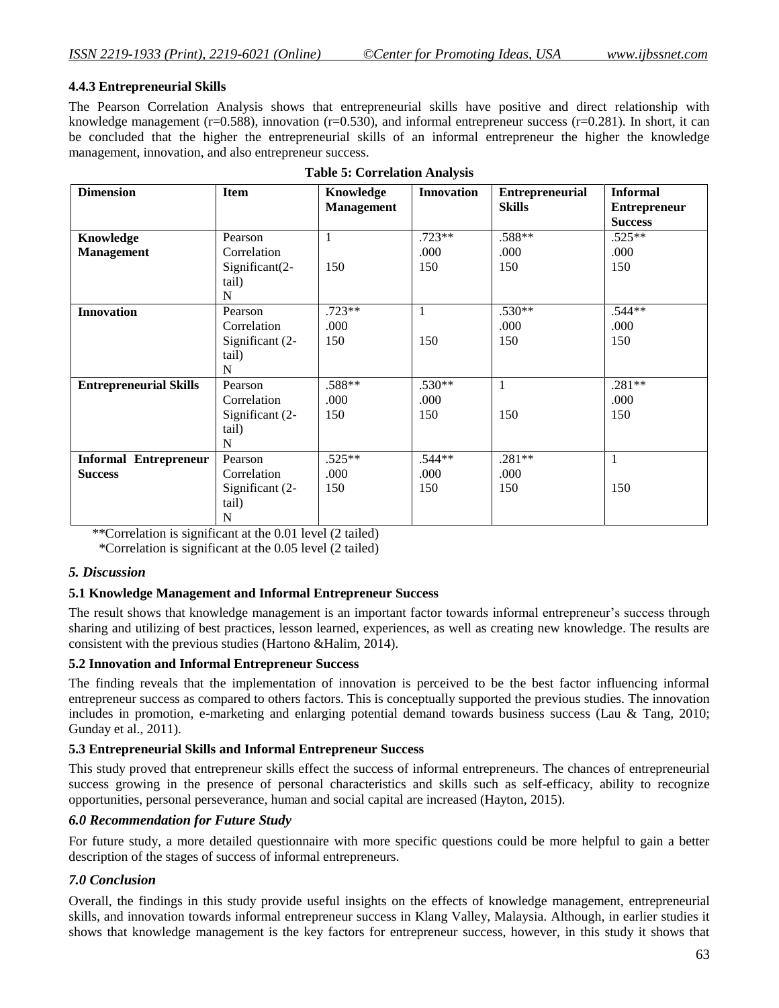## **4.4.3 Entrepreneurial Skills**

The Pearson Correlation Analysis shows that entrepreneurial skills have positive and direct relationship with knowledge management ( $r=0.588$ ), innovation ( $r=0.530$ ), and informal entrepreneur success ( $r=0.281$ ). In short, it can be concluded that the higher the entrepreneurial skills of an informal entrepreneur the higher the knowledge management, innovation, and also entrepreneur success.

| <b>Dimension</b>              | <b>Item</b>     | Knowledge         | <b>Innovation</b> | <b>Entrepreneurial</b> | <b>Informal</b>     |
|-------------------------------|-----------------|-------------------|-------------------|------------------------|---------------------|
|                               |                 | <b>Management</b> |                   | <b>Skills</b>          | <b>Entrepreneur</b> |
|                               |                 |                   |                   |                        | <b>Success</b>      |
| Knowledge                     | Pearson         | $\mathbf{1}$      | .723**            | .588**                 | $.525**$            |
| <b>Management</b>             | Correlation     |                   | .000              | .000                   | .000                |
|                               | Significant(2-  | 150               | 150               | 150                    | 150                 |
|                               | tail)           |                   |                   |                        |                     |
|                               | N               |                   |                   |                        |                     |
| <b>Innovation</b>             | Pearson         | $.723**$          | $\mathbf{1}$      | $.530**$               | .544**              |
|                               | Correlation     | .000              |                   | .000                   | .000                |
|                               | Significant (2- | 150               | 150               | 150                    | 150                 |
|                               | tail)           |                   |                   |                        |                     |
|                               | N               |                   |                   |                        |                     |
| <b>Entrepreneurial Skills</b> | Pearson         | .588**            | .530**            | $\mathbf{1}$           | $.281**$            |
|                               | Correlation     | .000              | .000              |                        | .000                |
|                               | Significant (2- | 150               | 150               | 150                    | 150                 |
|                               | tail)           |                   |                   |                        |                     |
|                               | N               |                   |                   |                        |                     |
| <b>Informal Entrepreneur</b>  | Pearson         | $.525**$          | .544**            | $.281**$               | $\mathbf{1}$        |
| <b>Success</b>                | Correlation     | .000              | .000              | .000                   |                     |
|                               | Significant (2- | 150               | 150               | 150                    | 150                 |
|                               | tail)           |                   |                   |                        |                     |
|                               | N               |                   |                   |                        |                     |

| <b>Table 5: Correlation Analysis</b> |
|--------------------------------------|
|--------------------------------------|

\*\*Correlation is significant at the 0.01 level (2 tailed)

\*Correlation is significant at the 0.05 level (2 tailed)

## *5. Discussion*

## **5.1 Knowledge Management and Informal Entrepreneur Success**

The result shows that knowledge management is an important factor towards informal entrepreneur's success through sharing and utilizing of best practices, lesson learned, experiences, as well as creating new knowledge. The results are consistent with the previous studies (Hartono &Halim, 2014).

## **5.2 Innovation and Informal Entrepreneur Success**

The finding reveals that the implementation of innovation is perceived to be the best factor influencing informal entrepreneur success as compared to others factors. This is conceptually supported the previous studies. The innovation includes in promotion, e-marketing and enlarging potential demand towards business success (Lau & Tang, 2010; Gunday et al., 2011).

## **5.3 Entrepreneurial Skills and Informal Entrepreneur Success**

This study proved that entrepreneur skills effect the success of informal entrepreneurs. The chances of entrepreneurial success growing in the presence of personal characteristics and skills such as self-efficacy, ability to recognize opportunities, personal perseverance, human and social capital are increased (Hayton, 2015).

# *6.0 Recommendation for Future Study*

For future study, a more detailed questionnaire with more specific questions could be more helpful to gain a better description of the stages of success of informal entrepreneurs.

# *7.0 Conclusion*

Overall, the findings in this study provide useful insights on the effects of knowledge management, entrepreneurial skills, and innovation towards informal entrepreneur success in Klang Valley, Malaysia. Although, in earlier studies it shows that knowledge management is the key factors for entrepreneur success, however, in this study it shows that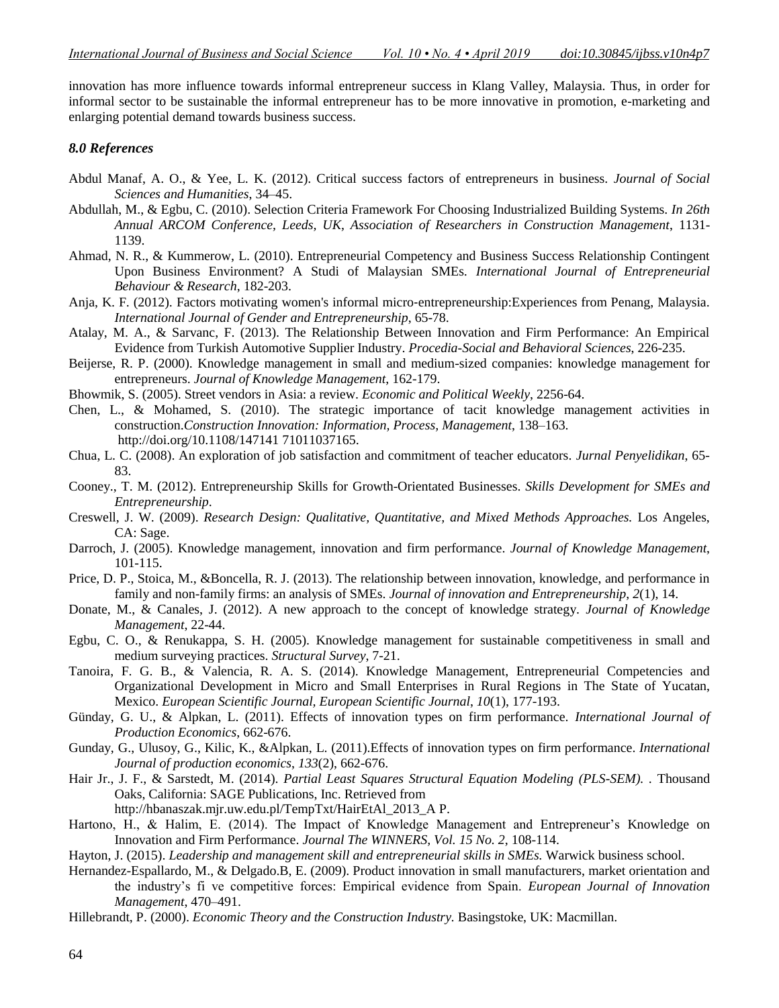innovation has more influence towards informal entrepreneur success in Klang Valley, Malaysia. Thus, in order for informal sector to be sustainable the informal entrepreneur has to be more innovative in promotion, e-marketing and enlarging potential demand towards business success.

#### *8.0 References*

- Abdul Manaf, A. O., & Yee, L. K. (2012). Critical success factors of entrepreneurs in business. *Journal of Social Sciences and Humanities*, 34–45.
- Abdullah, M., & Egbu, C. (2010). Selection Criteria Framework For Choosing Industrialized Building Systems. *In 26th Annual ARCOM Conference, Leeds, UK, Association of Researchers in Construction Management*, 1131- 1139.
- Ahmad, N. R., & Kummerow, L. (2010). Entrepreneurial Competency and Business Success Relationship Contingent Upon Business Environment? A Studi of Malaysian SMEs. *International Journal of Entrepreneurial Behaviour & Research*, 182-203.
- Anja, K. F. (2012). Factors motivating women's informal micro‐entrepreneurship:Experiences from Penang, Malaysia. *International Journal of Gender and Entrepreneurship*, 65-78.
- Atalay, M. A., & Sarvanc, F. (2013). The Relationship Between Innovation and Firm Performance: An Empirical Evidence from Turkish Automotive Supplier Industry. *Procedia-Social and Behavioral Sciences*, 226-235.
- Beijerse, R. P. (2000). Knowledge management in small and medium-sized companies: knowledge management for entrepreneurs. *Journal of Knowledge Management*, 162-179.
- Bhowmik, S. (2005). Street vendors in Asia: a review. *Economic and Political Weekly*, 2256-64.
- Chen, L., & Mohamed, S. (2010). The strategic importance of tacit knowledge management activities in construction.*Construction Innovation: Information, Process, Management*, 138–163. [http://doi.org/10.1108/147141 71011037165.](http://doi.org/10.1108/147141%2071011037165)
- Chua, L. C. (2008). An exploration of job satisfaction and commitment of teacher educators. *Jurnal Penyelidikan*, 65- 83.
- Cooney., T. M. (2012). Entrepreneurship Skills for Growth-Orientated Businesses. *Skills Development for SMEs and Entrepreneurship*.
- Creswell, J. W. (2009). *Research Design: Qualitative, Quantitative, and Mixed Methods Approaches.* Los Angeles, CA: Sage.
- Darroch, J. (2005). Knowledge management, innovation and firm performance. *Journal of Knowledge Management*, 101-115.
- Price, D. P., Stoica, M., &Boncella, R. J. (2013). The relationship between innovation, knowledge, and performance in family and non-family firms: an analysis of SMEs. *Journal of innovation and Entrepreneurship*, *2*(1), 14.
- Donate, M., & Canales, J. (2012). A new approach to the concept of knowledge strategy. *Journal of Knowledge Management*, 22-44.
- Egbu, C. O., & Renukappa, S. H. (2005). Knowledge management for sustainable competitiveness in small and medium surveying practices. *Structural Survey*, 7-21.
- Tanoira, F. G. B., & Valencia, R. A. S. (2014). Knowledge Management, Entrepreneurial Competencies and Organizational Development in Micro and Small Enterprises in Rural Regions in The State of Yucatan, Mexico. *European Scientific Journal, European Scientific Journal*, *10*(1), 177-193.
- Günday, G. U., & Alpkan, L. (2011). Effects of innovation types on firm performance. *International Journal of Production Economics*, 662-676.
- Gunday, G., Ulusoy, G., Kilic, K., &Alpkan, L. (2011).Effects of innovation types on firm performance. *International Journal of production economics*, *133*(2), 662-676.
- Hair Jr., J. F., & Sarstedt, M. (2014). *Partial Least Squares Structural Equation Modeling (PLS-SEM). .* Thousand Oaks, California: SAGE Publications, Inc. Retrieved from [http://hbanaszak.mjr.uw.edu.pl/T](http://hbanaszak.mjr.uw.edu.pl/)empTxt/HairEtAl\_2013\_A P.
- Hartono, H., & Halim, E. (2014). The Impact of Knowledge Management and Entrepreneur's Knowledge on Innovation and Firm Performance. *Journal The WINNERS, Vol. 15 No. 2*, 108-114.
- Hayton, J. (2015). *Leadership and management skill and entrepreneurial skills in SMEs.* Warwick business school.
- Hernandez-Espallardo, M., & Delgado.B, E. (2009). Product innovation in small manufacturers, market orientation and the industry"s fi ve competitive forces: Empirical evidence from Spain. *European Journal of Innovation Management*, 470–491.
- Hillebrandt, P. (2000). *Economic Theory and the Construction Industry.* Basingstoke, UK: Macmillan.